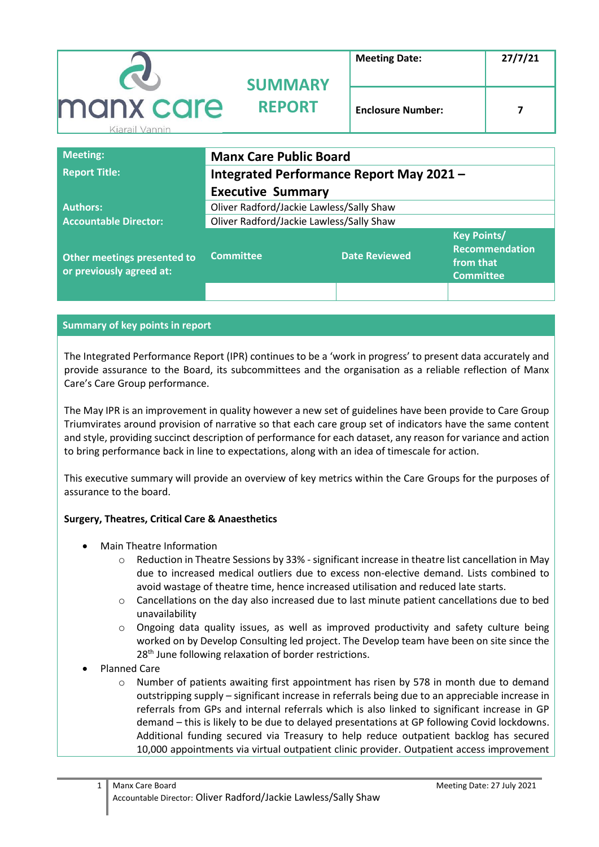|                             | <b>SUMMARY</b> | <b>Meeting Date:</b>     | 27/7/21 |
|-----------------------------|----------------|--------------------------|---------|
| manx care<br>Kiarail Vannin | <b>REPORT</b>  | <b>Enclosure Number:</b> |         |

| <b>Meeting:</b>                                         | <b>Manx Care Public Board</b>            |                      |                                                                              |
|---------------------------------------------------------|------------------------------------------|----------------------|------------------------------------------------------------------------------|
| <b>Report Title:</b>                                    | Integrated Performance Report May 2021 - |                      |                                                                              |
|                                                         | <b>Executive Summary</b>                 |                      |                                                                              |
| <b>Authors:</b>                                         | Oliver Radford/Jackie Lawless/Sally Shaw |                      |                                                                              |
| <b>Accountable Director:</b>                            | Oliver Radford/Jackie Lawless/Sally Shaw |                      |                                                                              |
| Other meetings presented to<br>or previously agreed at: | <b>Committee</b>                         | <b>Date Reviewed</b> | <b>Key Points/</b><br><b>Recommendation</b><br>from that<br><b>Committee</b> |
|                                                         |                                          |                      |                                                                              |

#### **Summary of key points in report**

The Integrated Performance Report (IPR) continues to be a 'work in progress' to present data accurately and provide assurance to the Board, its subcommittees and the organisation as a reliable reflection of Manx Care's Care Group performance.

The May IPR is an improvement in quality however a new set of guidelines have been provide to Care Group Triumvirates around provision of narrative so that each care group set of indicators have the same content and style, providing succinct description of performance for each dataset, any reason for variance and action to bring performance back in line to expectations, along with an idea of timescale for action.

This executive summary will provide an overview of key metrics within the Care Groups for the purposes of assurance to the board.

#### **Surgery, Theatres, Critical Care & Anaesthetics**

- Main Theatre Information
	- o Reduction in Theatre Sessions by 33% significant increase in theatre list cancellation in May due to increased medical outliers due to excess non-elective demand. Lists combined to avoid wastage of theatre time, hence increased utilisation and reduced late starts.
	- $\circ$  Cancellations on the day also increased due to last minute patient cancellations due to bed unavailability
	- o Ongoing data quality issues, as well as improved productivity and safety culture being worked on by Develop Consulting led project. The Develop team have been on site since the 28<sup>th</sup> June following relaxation of border restrictions.
- Planned Care
	- o Number of patients awaiting first appointment has risen by 578 in month due to demand outstripping supply – significant increase in referrals being due to an appreciable increase in referrals from GPs and internal referrals which is also linked to significant increase in GP demand – this is likely to be due to delayed presentations at GP following Covid lockdowns. Additional funding secured via Treasury to help reduce outpatient backlog has secured 10,000 appointments via virtual outpatient clinic provider. Outpatient access improvement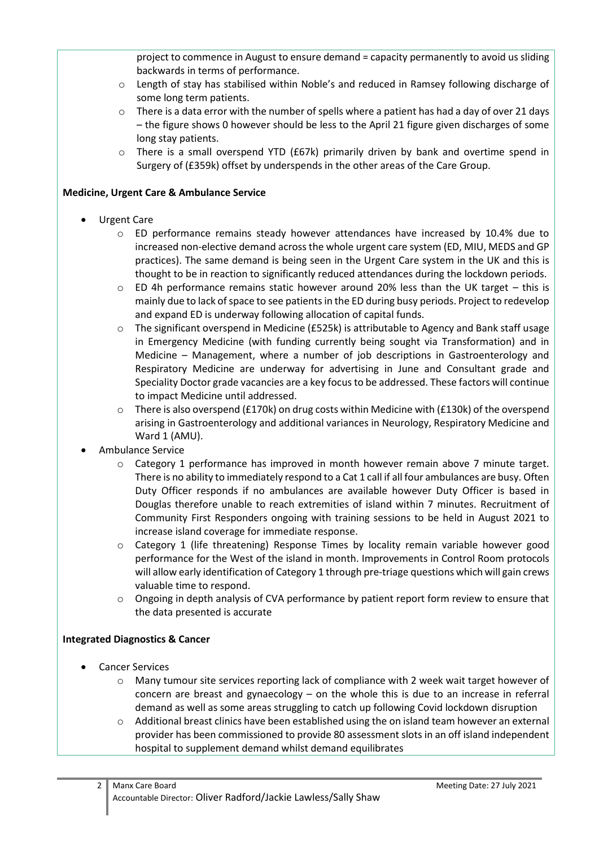project to commence in August to ensure demand = capacity permanently to avoid us sliding backwards in terms of performance.

- o Length of stay has stabilised within Noble's and reduced in Ramsey following discharge of some long term patients.
- $\circ$  There is a data error with the number of spells where a patient has had a day of over 21 days – the figure shows 0 however should be less to the April 21 figure given discharges of some long stay patients.
- $\circ$  There is a small overspend YTD (£67k) primarily driven by bank and overtime spend in Surgery of (£359k) offset by underspends in the other areas of the Care Group.

### **Medicine, Urgent Care & Ambulance Service**

- Urgent Care
	- $\circ$  ED performance remains steady however attendances have increased by 10.4% due to increased non-elective demand across the whole urgent care system (ED, MIU, MEDS and GP practices). The same demand is being seen in the Urgent Care system in the UK and this is thought to be in reaction to significantly reduced attendances during the lockdown periods.
	- $\circ$  ED 4h performance remains static however around 20% less than the UK target this is mainly due to lack of space to see patients in the ED during busy periods. Project to redevelop and expand ED is underway following allocation of capital funds.
	- o The significant overspend in Medicine (£525k) is attributable to Agency and Bank staff usage in Emergency Medicine (with funding currently being sought via Transformation) and in Medicine – Management, where a number of job descriptions in Gastroenterology and Respiratory Medicine are underway for advertising in June and Consultant grade and Speciality Doctor grade vacancies are a key focus to be addressed. These factors will continue to impact Medicine until addressed.
	- $\circ$  There is also overspend (£170k) on drug costs within Medicine with (£130k) of the overspend arising in Gastroenterology and additional variances in Neurology, Respiratory Medicine and Ward 1 (AMU).
- Ambulance Service
	- o Category 1 performance has improved in month however remain above 7 minute target. There is no ability to immediately respond to a Cat 1 call if all four ambulances are busy. Often Duty Officer responds if no ambulances are available however Duty Officer is based in Douglas therefore unable to reach extremities of island within 7 minutes. Recruitment of Community First Responders ongoing with training sessions to be held in August 2021 to increase island coverage for immediate response.
	- o Category 1 (life threatening) Response Times by locality remain variable however good performance for the West of the island in month. Improvements in Control Room protocols will allow early identification of Category 1 through pre-triage questions which will gain crews valuable time to respond.
	- o Ongoing in depth analysis of CVA performance by patient report form review to ensure that the data presented is accurate

### **Integrated Diagnostics & Cancer**

- Cancer Services
	- o Many tumour site services reporting lack of compliance with 2 week wait target however of concern are breast and gynaecology  $-$  on the whole this is due to an increase in referral demand as well as some areas struggling to catch up following Covid lockdown disruption
	- $\circ$  Additional breast clinics have been established using the on island team however an external provider has been commissioned to provide 80 assessment slots in an off island independent hospital to supplement demand whilst demand equilibrates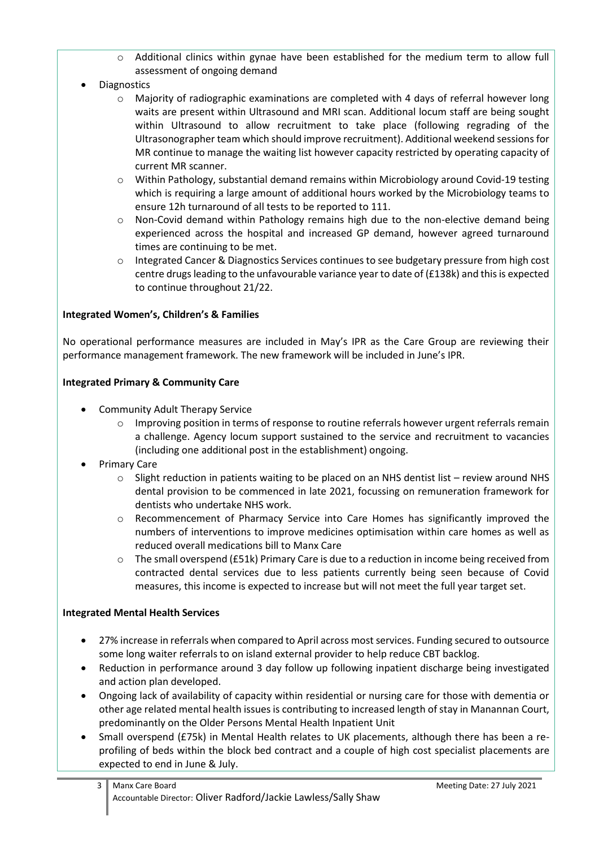- o Additional clinics within gynae have been established for the medium term to allow full assessment of ongoing demand
- Diagnostics
	- $\circ$  Majority of radiographic examinations are completed with 4 days of referral however long waits are present within Ultrasound and MRI scan. Additional locum staff are being sought within Ultrasound to allow recruitment to take place (following regrading of the Ultrasonographer team which should improve recruitment). Additional weekend sessions for MR continue to manage the waiting list however capacity restricted by operating capacity of current MR scanner.
	- o Within Pathology, substantial demand remains within Microbiology around Covid-19 testing which is requiring a large amount of additional hours worked by the Microbiology teams to ensure 12h turnaround of all tests to be reported to 111.
	- $\circ$  Non-Covid demand within Pathology remains high due to the non-elective demand being experienced across the hospital and increased GP demand, however agreed turnaround times are continuing to be met.
	- o Integrated Cancer & Diagnostics Services continues to see budgetary pressure from high cost centre drugs leading to the unfavourable variance year to date of (£138k) and this is expected to continue throughout 21/22.

### **Integrated Women's, Children's & Families**

No operational performance measures are included in May's IPR as the Care Group are reviewing their performance management framework. The new framework will be included in June's IPR.

### **Integrated Primary & Community Care**

- Community Adult Therapy Service
	- o Improving position in terms of response to routine referrals however urgent referrals remain a challenge. Agency locum support sustained to the service and recruitment to vacancies (including one additional post in the establishment) ongoing.
- Primary Care
	- $\circ$  Slight reduction in patients waiting to be placed on an NHS dentist list review around NHS dental provision to be commenced in late 2021, focussing on remuneration framework for dentists who undertake NHS work.
	- o Recommencement of Pharmacy Service into Care Homes has significantly improved the numbers of interventions to improve medicines optimisation within care homes as well as reduced overall medications bill to Manx Care
	- $\circ$  The small overspend (£51k) Primary Care is due to a reduction in income being received from contracted dental services due to less patients currently being seen because of Covid measures, this income is expected to increase but will not meet the full year target set.

### **Integrated Mental Health Services**

- 27% increase in referrals when compared to April across most services. Funding secured to outsource some long waiter referrals to on island external provider to help reduce CBT backlog.
- Reduction in performance around 3 day follow up following inpatient discharge being investigated and action plan developed.
- Ongoing lack of availability of capacity within residential or nursing care for those with dementia or other age related mental health issues is contributing to increased length of stay in Manannan Court, predominantly on the Older Persons Mental Health Inpatient Unit
- Small overspend (£75k) in Mental Health relates to UK placements, although there has been a reprofiling of beds within the block bed contract and a couple of high cost specialist placements are expected to end in June & July.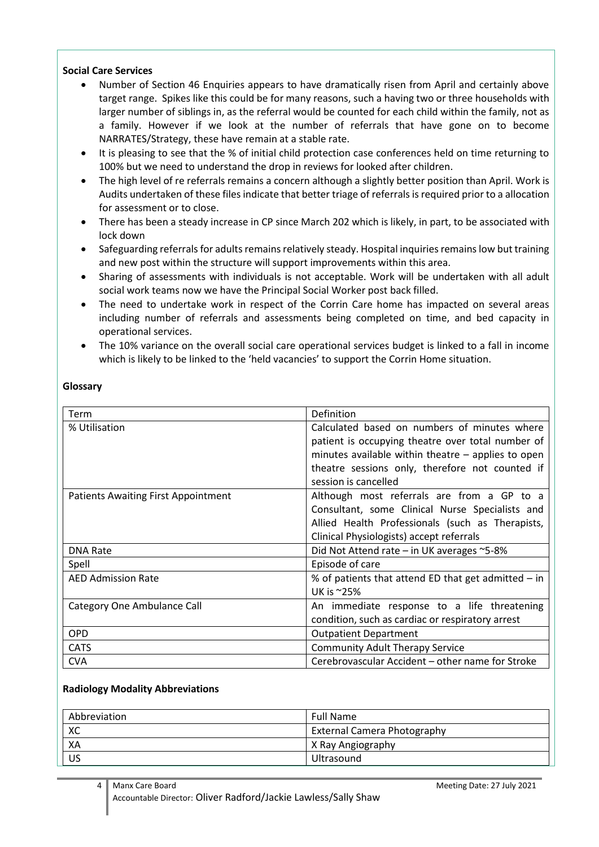## **Social Care Services**

- Number of Section 46 Enquiries appears to have dramatically risen from April and certainly above target range. Spikes like this could be for many reasons, such a having two or three households with larger number of siblings in, as the referral would be counted for each child within the family, not as a family. However if we look at the number of referrals that have gone on to become NARRATES/Strategy, these have remain at a stable rate.
- It is pleasing to see that the % of initial child protection case conferences held on time returning to 100% but we need to understand the drop in reviews for looked after children.
- The high level of re referrals remains a concern although a slightly better position than April. Work is Audits undertaken of these files indicate that better triage of referrals is required prior to a allocation for assessment or to close.
- There has been a steady increase in CP since March 202 which is likely, in part, to be associated with lock down
- Safeguarding referrals for adults remains relatively steady. Hospital inquiries remains low but training and new post within the structure will support improvements within this area.
- Sharing of assessments with individuals is not acceptable. Work will be undertaken with all adult social work teams now we have the Principal Social Worker post back filled.
- The need to undertake work in respect of the Corrin Care home has impacted on several areas including number of referrals and assessments being completed on time, and bed capacity in operational services.
- The 10% variance on the overall social care operational services budget is linked to a fall in income which is likely to be linked to the 'held vacancies' to support the Corrin Home situation.

### **Glossary**

| Term                                | Definition                                            |
|-------------------------------------|-------------------------------------------------------|
| % Utilisation                       | Calculated based on numbers of minutes where          |
|                                     | patient is occupying theatre over total number of     |
|                                     | minutes available within theatre $-$ applies to open  |
|                                     | theatre sessions only, therefore not counted if       |
|                                     | session is cancelled                                  |
| Patients Awaiting First Appointment | Although most referrals are from a GP to a            |
|                                     | Consultant, some Clinical Nurse Specialists and       |
|                                     | Allied Health Professionals (such as Therapists,      |
|                                     | Clinical Physiologists) accept referrals              |
| <b>DNA Rate</b>                     | Did Not Attend rate – in UK averages $\sim$ 5-8%      |
| Spell                               | Episode of care                                       |
| <b>AED Admission Rate</b>           | % of patients that attend ED that get admitted $-$ in |
|                                     | UK is ~25%                                            |
| Category One Ambulance Call         | An immediate response to a life threatening           |
|                                     | condition, such as cardiac or respiratory arrest      |
| <b>OPD</b>                          | <b>Outpatient Department</b>                          |
| <b>CATS</b>                         | <b>Community Adult Therapy Service</b>                |
| <b>CVA</b>                          | Cerebrovascular Accident – other name for Stroke      |

#### **Radiology Modality Abbreviations**

| Abbreviation | <b>Full Name</b>                   |
|--------------|------------------------------------|
| XC           | <b>External Camera Photography</b> |
| XA           | X Ray Angiography                  |
| US           | Ultrasound                         |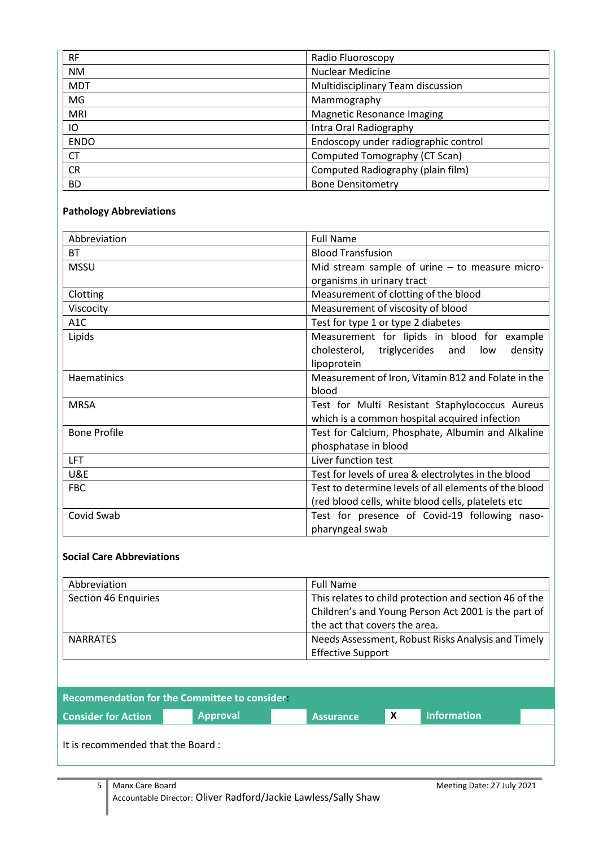| <b>RF</b>   | Radio Fluoroscopy                    |
|-------------|--------------------------------------|
| <b>NM</b>   | <b>Nuclear Medicine</b>              |
| <b>MDT</b>  | Multidisciplinary Team discussion    |
| MG          | Mammography                          |
| <b>MRI</b>  | <b>Magnetic Resonance Imaging</b>    |
| IO          | Intra Oral Radiography               |
| <b>ENDO</b> | Endoscopy under radiographic control |
| <b>CT</b>   | Computed Tomography (CT Scan)        |
| <b>CR</b>   | Computed Radiography (plain film)    |
| <b>BD</b>   | <b>Bone Densitometry</b>             |

# **Pathology Abbreviations**

| Abbreviation        | <b>Full Name</b>                                      |  |  |
|---------------------|-------------------------------------------------------|--|--|
| <b>BT</b>           | <b>Blood Transfusion</b>                              |  |  |
| <b>MSSU</b>         | Mid stream sample of urine – to measure micro-        |  |  |
|                     | organisms in urinary tract                            |  |  |
| Clotting            | Measurement of clotting of the blood                  |  |  |
| Viscocity           | Measurement of viscosity of blood                     |  |  |
| A <sub>1</sub> C    | Test for type 1 or type 2 diabetes                    |  |  |
| Lipids              | Measurement for lipids in blood for example           |  |  |
|                     | cholesterol, triglycerides and<br>density<br>low      |  |  |
|                     | lipoprotein                                           |  |  |
| Haematinics         | Measurement of Iron, Vitamin B12 and Folate in the    |  |  |
|                     | blood                                                 |  |  |
| <b>MRSA</b>         | Test for Multi Resistant Staphylococcus Aureus        |  |  |
|                     | which is a common hospital acquired infection         |  |  |
| <b>Bone Profile</b> | Test for Calcium, Phosphate, Albumin and Alkaline     |  |  |
|                     | phosphatase in blood                                  |  |  |
| <b>LFT</b>          | Liver function test                                   |  |  |
| U&E                 | Test for levels of urea & electrolytes in the blood   |  |  |
| <b>FBC</b>          | Test to determine levels of all elements of the blood |  |  |
|                     | (red blood cells, white blood cells, platelets etc    |  |  |
| Covid Swab          | Test for presence of Covid-19 following naso-         |  |  |
|                     | pharyngeal swab                                       |  |  |

#### **Social Care Abbreviations**

| Abbreviation         | <b>Full Name</b>                                       |
|----------------------|--------------------------------------------------------|
| Section 46 Enquiries | This relates to child protection and section 46 of the |
|                      | Children's and Young Person Act 2001 is the part of    |
|                      | the act that covers the area.                          |
| <b>NARRATES</b>      | Needs Assessment, Robust Risks Analysis and Timely     |
|                      | <b>Effective Support</b>                               |

| <b>Recommendation for the Committee to consider.</b> |                 |                  |   |                    |  |
|------------------------------------------------------|-----------------|------------------|---|--------------------|--|
| <b>Consider for Action</b>                           | <b>Approval</b> | <b>Assurance</b> | X | <b>Information</b> |  |
| It is recommended that the Board:                    |                 |                  |   |                    |  |